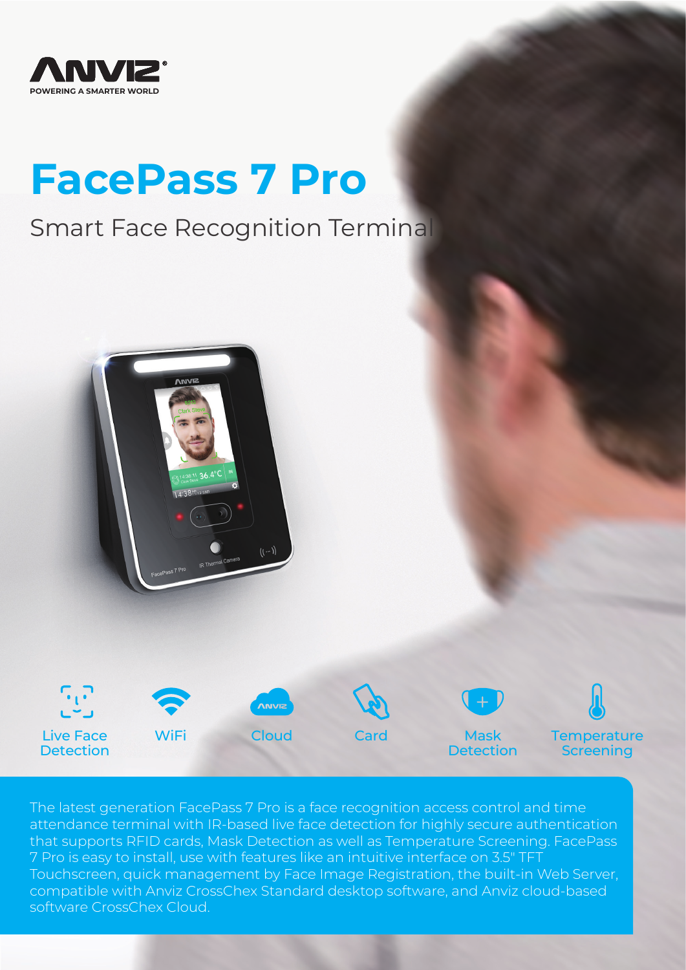

# **FacePass 7 Pro**

# Smart Face Recognition Terminal





The latest generation FacePass 7 Pro is a face recognition access control and time attendance terminal with IR-based live face detection for highly secure authentication that supports RFID cards, Mask Detection as well as Temperature Screening. FacePass 7 Pro is easy to install, use with features like an intuitive interface on 3.5" TFT Touchscreen, quick management by Face Image Registration, the built-in Web Server, compatible with Anviz CrossChex Standard desktop software, and Anviz cloud-based software CrossChex Cloud.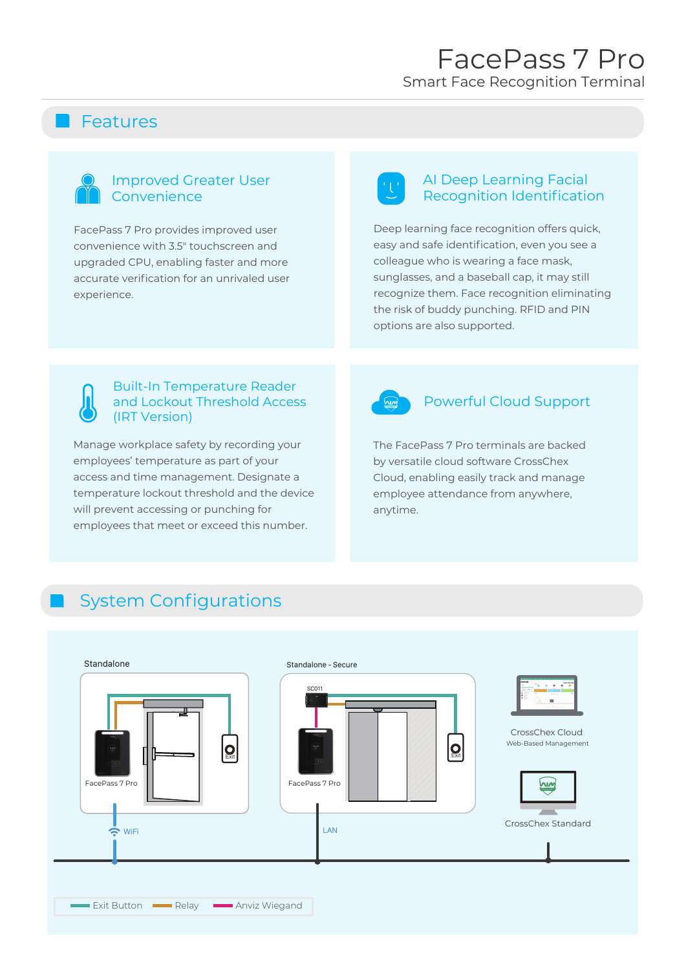### **R** Features

#### Improved Greater User Convenience

FacePass 7 Pro provides improved user convenience with 3.5" touchscreen and upgraded CPU, enabling faster and more accurate verification for an unrivaled user experience.

#### AI Deep Learning Facial Recognition Identification

Deep learning face recognition offers quick, easy and safe identification, even you see a colleague who is wearing a face mask, sunglasses, and a baseball cap, it may still recognize them. Face recognition eliminating the risk of buddy punching. RFID and PIN options are also supported.



Manage workplace safety by recording your employees' temperature as part of your access and time management. Designate a temperature lockout threshold and the device will prevent accessing or punching for employees that meet or exceed this number.



#### Powerful Cloud Support

The FacePass 7 Pro terminals are backed by versatile cloud software CrossChex Cloud, enabling easily track and manage employee attendance from anywhere, anytime.

## System Configurations